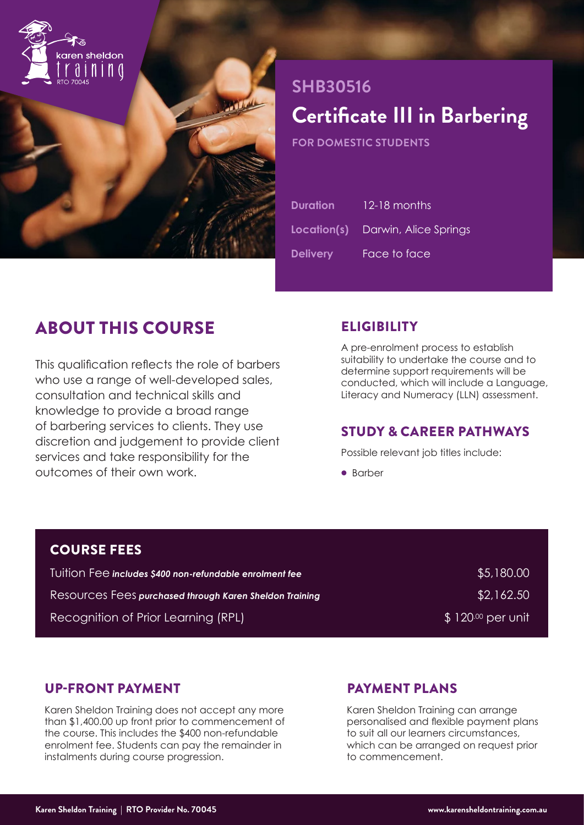

# **SHB30516 Certificate III in Barbering**

**FOR DOMESTIC STUDENTS**

| <b>Duration</b> | 12-18 months                             |
|-----------------|------------------------------------------|
|                 | <b>Location(s)</b> Darwin, Alice Springs |
| <b>Delivery</b> | Face to face                             |

# ABOUT THIS COURSE

This qualification reflects the role of barbers who use a range of well-developed sales, consultation and technical skills and knowledge to provide a broad range of barbering services to clients. They use discretion and judgement to provide client services and take responsibility for the outcomes of their own work.

# **ELIGIBILITY**

A pre-enrolment process to establish suitability to undertake the course and to determine support requirements will be conducted, which will include a Language, Literacy and Numeracy (LLN) assessment.

# STUDY & CAREER PATHWAYS

Possible relevant job titles include:

• Barber

# COURSE FEES

| Tuition Fee includes \$400 non-refundable enrolment fee | \$5,180.00        |
|---------------------------------------------------------|-------------------|
| Resources Fees purchased through Karen Sheldon Training | \$2,162.50        |
| Recognition of Prior Learning (RPL)                     | $$120\%$ per unit |

## UP-FRONT PAYMENT

Karen Sheldon Training does not accept any more than \$1,400.00 up front prior to commencement of the course. This includes the \$400 non-refundable enrolment fee. Students can pay the remainder in instalments during course progression.

# PAYMENT PLANS

Karen Sheldon Training can arrange personalised and flexible payment plans to suit all our learners circumstances, which can be arranged on request prior to commencement.